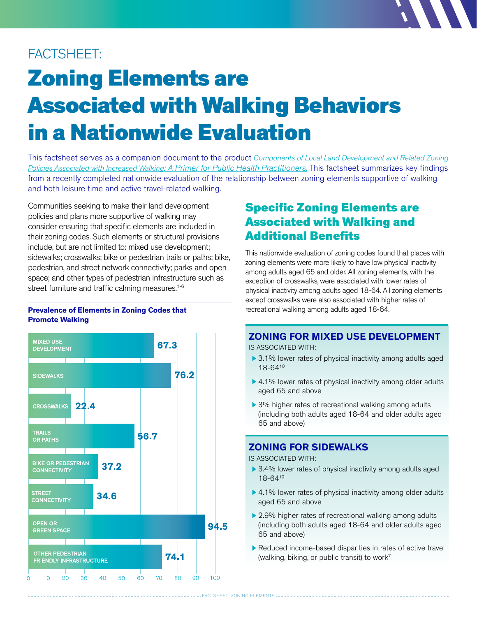# FACTSHEET:

# Zoning Elements are Associated with Walking Behaviors in a Nationwide Evaluation

This factsheet serves as a companion document to the product *[Components of Local Land Development and Related Zoning](go.uic.edu/zoningprimer)  [Policies Associated with Increased Walking: A Primer for Public Health Practitioners.](go.uic.edu/zoningprimer)* This factsheet summarizes key findings from a recently completed nationwide evaluation of the relationship between zoning elements supportive of walking and both leisure time and active travel-related walking.

Communities seeking to make their land development policies and plans more supportive of walking may consider ensuring that specific elements are included in their zoning codes. Such elements or structural provisions include, but are not limited to: mixed use development; sidewalks; crosswalks; bike or pedestrian trails or paths; bike, pedestrian, and street network connectivity; parks and open space; and other types of pedestrian infrastructure such as street furniture and traffic calming measures.<sup>1-6</sup>

#### **Prevalence of Elements in Zoning Codes that Promote Walking**



## Specific Zoning Elements are Associated with Walking and Additional Benefits

This nationwide evaluation of zoning codes found that places with zoning elements were more likely to have low physical inactivity among adults aged 65 and older. All zoning elements, with the exception of crosswalks, were associated with lower rates of physical inactivity among adults aged 18-64. All zoning elements except crosswalks were also associated with higher rates of recreational walking among adults aged 18-64.

#### **ZONING FOR MIXED USE DEVELOPMENT**

IS ASSOCIATED WITH:

- ▶ 3.1% lower rates of physical inactivity among adults aged 18-64<sup>10</sup>
- ▶ 4.1% lower rates of physical inactivity among older adults aged 65 and above
- ▶ 3% higher rates of recreational walking among adults (including both adults aged 18-64 and older adults aged 65 and above)

## **ZONING FOR SIDEWALKS**

IS ASSOCIATED WITH:

------------ FACTSHEET: ZONING ELEMENTS -----

- ▶ 3.4% lower rates of physical inactivity among adults aged 18-64<sup>10</sup>
- ▶ 4.1% lower rates of physical inactivity among older adults aged 65 and above
- ▶ 2.9% higher rates of recreational walking among adults (including both adults aged 18-64 and older adults aged 65 and above)
- Reduced income-based disparities in rates of active travel (walking, biking, or public transit) to work<sup>7</sup>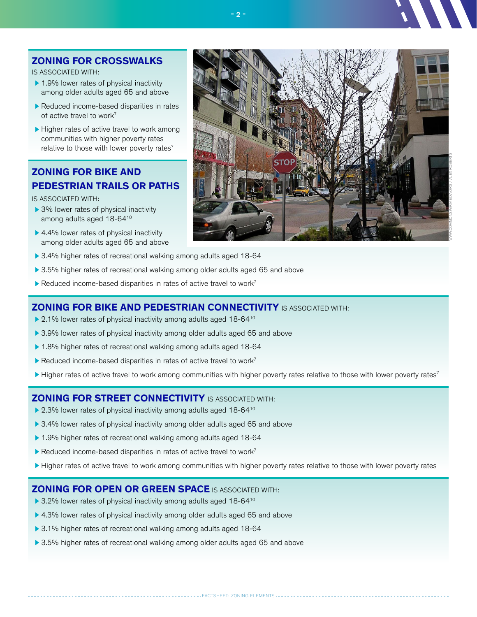#### **ZONING FOR CROSSWALKS**

IS ASSOCIATED WITH:

- ▶ 1.9% lower rates of physical inactivity among older adults aged 65 and above
- Reduced income-based disparities in rates of active travel to work<sup>7</sup>
- $\blacktriangleright$  Higher rates of active travel to work among communities with higher poverty rates relative to those with lower poverty rates $<sup>7</sup>$ </sup>

#### **ZONING FOR BIKE AND PEDESTRIAN TRAILS OR PATHS**

IS ASSOCIATED WITH:

- ▶ 3% lower rates of physical inactivity among adults aged 18-64<sup>10</sup>
- ▶ 4.4% lower rates of physical inactivity among older adults aged 65 and above
- ▶ 3.4% higher rates of recreational walking among adults aged 18-64
- ▶ 3.5% higher rates of recreational walking among older adults aged 65 and above
- Reduced income-based disparities in rates of active travel to work<sup>7</sup>

#### **ZONING FOR BIKE AND PEDESTRIAN CONNECTIVITY** IS ASSOCIATED WITH:

- ▶ 2.1% lower rates of physical inactivity among adults aged 18-64<sup>10</sup>
- ▶ 3.9% lower rates of physical inactivity among older adults aged 65 and above
- ▶ 1.8% higher rates of recreational walking among adults aged 18-64
- Reduced income-based disparities in rates of active travel to work<sup>7</sup>
- $\blacktriangleright$  Higher rates of active travel to work among communities with higher poverty rates relative to those with lower poverty rates<sup>7</sup>

- 2 -

#### **ZONING FOR STREET CONNECTIVITY** IS ASSOCIATED WITH:

- ▶ 2.3% lower rates of physical inactivity among adults aged 18-64<sup>10</sup>
- ▶ 3.4% lower rates of physical inactivity among older adults aged 65 and above
- ▶ 1.9% higher rates of recreational walking among adults aged 18-64
- Reduced income-based disparities in rates of active travel to work<sup>7</sup>
- Higher rates of active travel to work among communities with higher poverty rates relative to those with lower poverty rates

#### **ZONING FOR OPEN OR GREEN SPACE** IS ASSOCIATED WITH:

- ▶ 3.2% lower rates of physical inactivity among adults aged 18-64<sup>10</sup>
- ▶ 4.3% lower rates of physical inactivity among older adults aged 65 and above
- ▶ 3.1% higher rates of recreational walking among adults aged 18-64
- ▶ 3.5% higher rates of recreational walking among older adults aged 65 and above



#### ------- FACTSHEET: ZONING ELEMENTS ---------